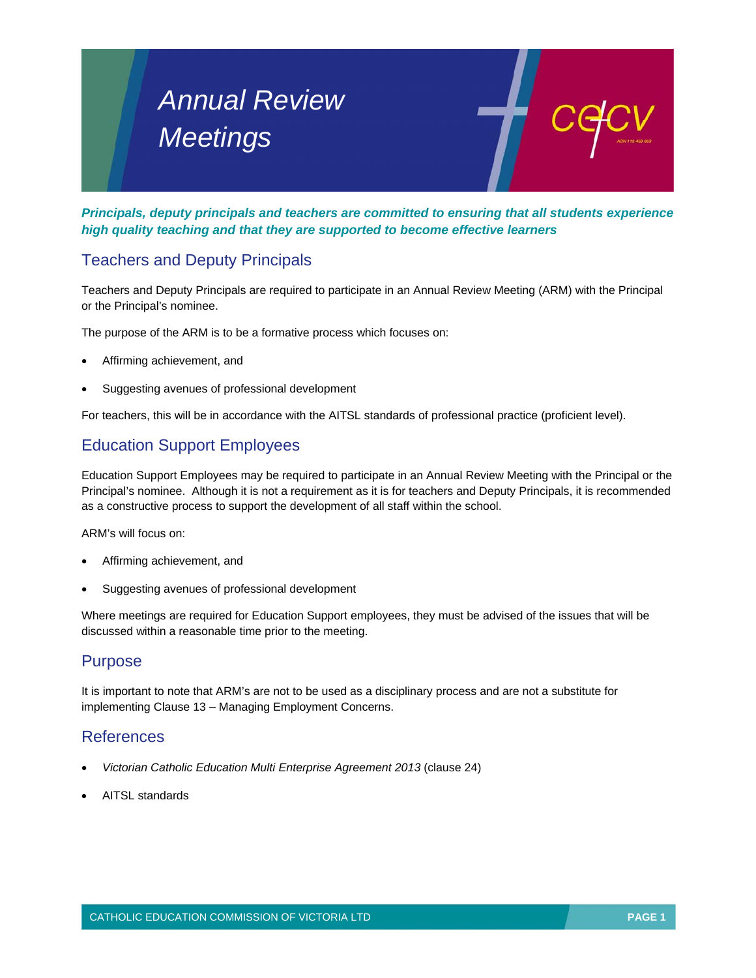# *Annual Review Meetings*

*Principals, deputy principals and teachers are committed to ensuring that all students experience high quality teaching and that they are supported to become effective learners* 

## Teachers and Deputy Principals

Teachers and Deputy Principals are required to participate in an Annual Review Meeting (ARM) with the Principal or the Principal's nominee.

The purpose of the ARM is to be a formative process which focuses on:

- Affirming achievement, and
- Suggesting avenues of professional development

For teachers, this will be in accordance with the AITSL standards of professional practice (proficient level).

### Education Support Employees

Education Support Employees may be required to participate in an Annual Review Meeting with the Principal or the Principal's nominee. Although it is not a requirement as it is for teachers and Deputy Principals, it is recommended as a constructive process to support the development of all staff within the school.

ARM's will focus on:

- Affirming achievement, and
- Suggesting avenues of professional development

Where meetings are required for Education Support employees, they must be advised of the issues that will be discussed within a reasonable time prior to the meeting.

#### Purpose

It is important to note that ARM's are not to be used as a disciplinary process and are not a substitute for implementing Clause 13 – Managing Employment Concerns.

#### References

- *Victorian Catholic Education Multi Enterprise Agreement 2013* (clause 24)
- AITSL standards